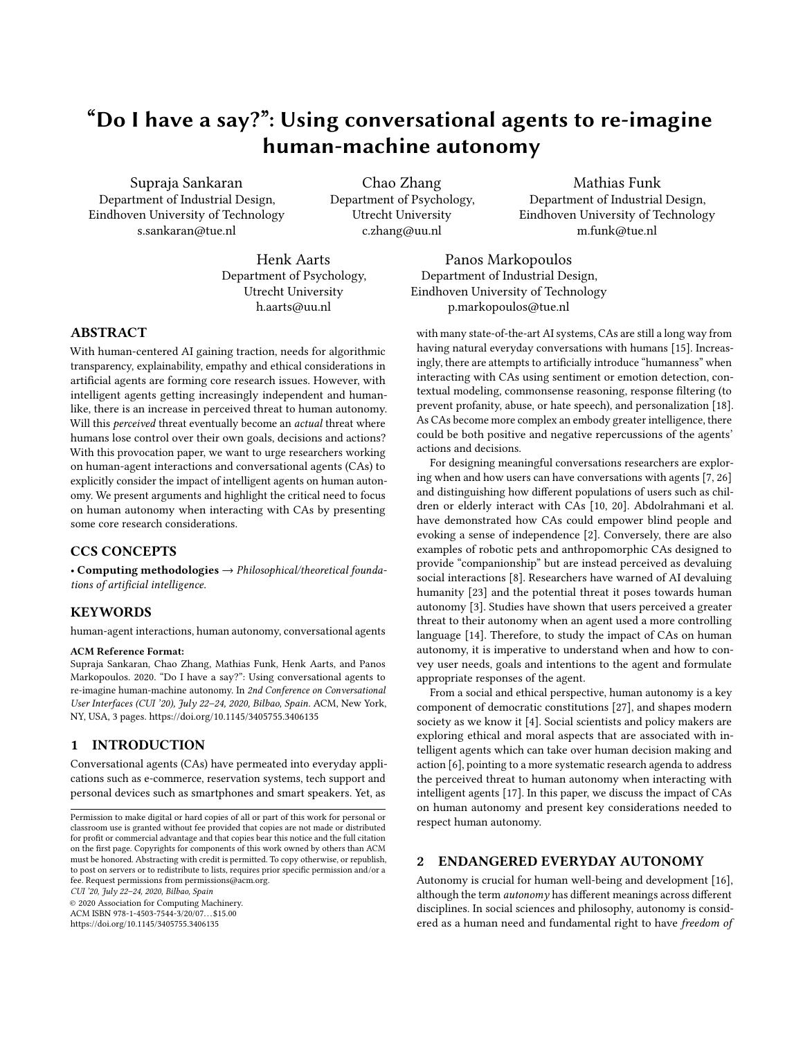# "Do I have a say?": Using conversational agents to re-imagine human-machine autonomy

Supraja Sankaran Department of Industrial Design, Eindhoven University of Technology s.sankaran@tue.nl

Chao Zhang Department of Psychology, Utrecht University c.zhang@uu.nl

Mathias Funk Department of Industrial Design, Eindhoven University of Technology m.funk@tue.nl

Henk Aarts Department of Psychology, Utrecht University h.aarts@uu.nl

Panos Markopoulos Department of Industrial Design, Eindhoven University of Technology p.markopoulos@tue.nl

## ABSTRACT

With human-centered AI gaining traction, needs for algorithmic transparency, explainability, empathy and ethical considerations in artificial agents are forming core research issues. However, with intelligent agents getting increasingly independent and humanlike, there is an increase in perceived threat to human autonomy. Will this perceived threat eventually become an actual threat where humans lose control over their own goals, decisions and actions? With this provocation paper, we want to urge researchers working on human-agent interactions and conversational agents (CAs) to explicitly consider the impact of intelligent agents on human autonomy. We present arguments and highlight the critical need to focus on human autonomy when interacting with CAs by presenting some core research considerations.

## CCS CONCEPTS

• Computing methodologies  $\rightarrow$  Philosophical/theoretical foundations of artificial intelligence.

### **KEYWORDS**

human-agent interactions, human autonomy, conversational agents

#### ACM Reference Format:

Supraja Sankaran, Chao Zhang, Mathias Funk, Henk Aarts, and Panos Markopoulos. 2020. "Do I have a say?": Using conversational agents to re-imagine human-machine autonomy. In 2nd Conference on Conversational User Interfaces (CUI '20), July 22–24, 2020, Bilbao, Spain. ACM, New York, NY, USA, [3](#page-2-0) pages.<https://doi.org/10.1145/3405755.3406135>

## 1 INTRODUCTION

Conversational agents (CAs) have permeated into everyday applications such as e-commerce, reservation systems, tech support and personal devices such as smartphones and smart speakers. Yet, as

CUI '20, July 22–24, 2020, Bilbao, Spain

© 2020 Association for Computing Machinery.

ACM ISBN 978-1-4503-7544-3/20/07. . . \$15.00 <https://doi.org/10.1145/3405755.3406135>

with many state-of-the-art AI systems, CAs are still a long way from having natural everyday conversations with humans [\[15\]](#page-2-1). Increasingly, there are attempts to artificially introduce "humanness" when interacting with CAs using sentiment or emotion detection, contextual modeling, commonsense reasoning, response filtering (to prevent profanity, abuse, or hate speech), and personalization [\[18\]](#page-2-2). As CAs become more complex an embody greater intelligence, there could be both positive and negative repercussions of the agents' actions and decisions.

For designing meaningful conversations researchers are exploring when and how users can have conversations with agents [\[7,](#page-2-3) [26\]](#page-2-4) and distinguishing how different populations of users such as children or elderly interact with CAs [\[10,](#page-2-5) [20\]](#page-2-6). Abdolrahmani et al. have demonstrated how CAs could empower blind people and evoking a sense of independence [\[2\]](#page-2-7). Conversely, there are also examples of robotic pets and anthropomorphic CAs designed to provide "companionship" but are instead perceived as devaluing social interactions [\[8\]](#page-2-8). Researchers have warned of AI devaluing humanity [\[23\]](#page-2-9) and the potential threat it poses towards human autonomy [\[3\]](#page-2-10). Studies have shown that users perceived a greater threat to their autonomy when an agent used a more controlling language [\[14\]](#page-2-11). Therefore, to study the impact of CAs on human autonomy, it is imperative to understand when and how to convey user needs, goals and intentions to the agent and formulate appropriate responses of the agent.

From a social and ethical perspective, human autonomy is a key component of democratic constitutions [\[27\]](#page-2-12), and shapes modern society as we know it [\[4\]](#page-2-13). Social scientists and policy makers are exploring ethical and moral aspects that are associated with intelligent agents which can take over human decision making and action [\[6\]](#page-2-14), pointing to a more systematic research agenda to address the perceived threat to human autonomy when interacting with intelligent agents [\[17\]](#page-2-15). In this paper, we discuss the impact of CAs on human autonomy and present key considerations needed to respect human autonomy.

#### 2 ENDANGERED EVERYDAY AUTONOMY

Autonomy is crucial for human well-being and development [\[16\]](#page-2-16), although the term autonomy has different meanings across different disciplines. In social sciences and philosophy, autonomy is considered as a human need and fundamental right to have freedom of

Permission to make digital or hard copies of all or part of this work for personal or classroom use is granted without fee provided that copies are not made or distributed for profit or commercial advantage and that copies bear this notice and the full citation on the first page. Copyrights for components of this work owned by others than ACM must be honored. Abstracting with credit is permitted. To copy otherwise, or republish, to post on servers or to redistribute to lists, requires prior specific permission and/or a fee. Request permissions from permissions@acm.org.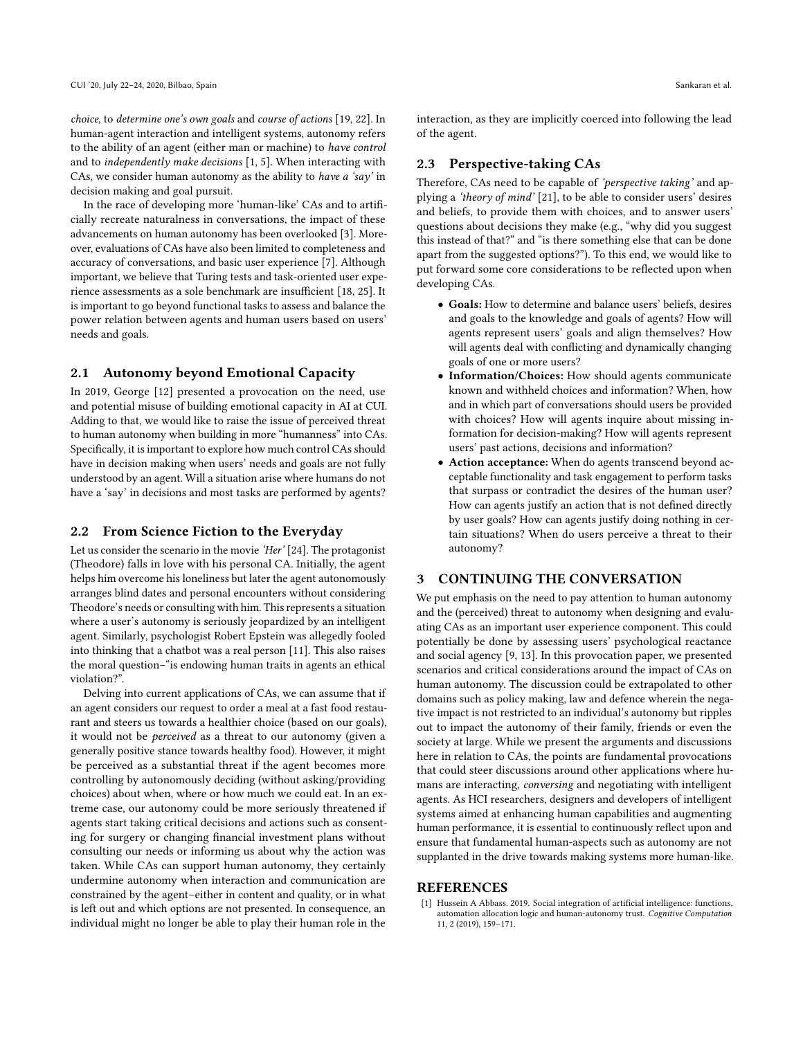choice, to determine one's own goals and course of actions [\[19,](#page-2-17) [22\]](#page-2-18). In human-agent interaction and intelligent systems, autonomy refers to the ability of an agent (either man or machine) to have control and to independently make decisions [\[1,](#page-1-0) [5\]](#page-2-19). When interacting with CAs, we consider human autonomy as the ability to have a 'say' in decision making and goal pursuit.

In the race of developing more 'human-like' CAs and to artificially recreate naturalness in conversations, the impact of these advancements on human autonomy has been overlooked [\[3\]](#page-2-10). Moreover, evaluations of CAs have also been limited to completeness and accuracy of conversations, and basic user experience [\[7\]](#page-2-3). Although important, we believe that Turing tests and task-oriented user experience assessments as a sole benchmark are insufficient [\[18,](#page-2-2) [25\]](#page-2-20). It is important to go beyond functional tasks to assess and balance the power relation between agents and human users based on users' needs and goals.

### 2.1 Autonomy beyond Emotional Capacity

In 2019, George [\[12\]](#page-2-21) presented a provocation on the need, use and potential misuse of building emotional capacity in AI at CUI. Adding to that, we would like to raise the issue of perceived threat to human autonomy when building in more "humanness" into CAs. Specifically, it is important to explore how much control CAs should have in decision making when users' needs and goals are not fully understood by an agent. Will a situation arise where humans do not have a 'say' in decisions and most tasks are performed by agents?

#### 2.2 From Science Fiction to the Everyday

Let us consider the scenario in the movie 'Her' [\[24\]](#page-2-22). The protagonist (Theodore) falls in love with his personal CA. Initially, the agent helps him overcome his loneliness but later the agent autonomously arranges blind dates and personal encounters without considering Theodore's needs or consulting with him. This represents a situation where a user's autonomy is seriously jeopardized by an intelligent agent. Similarly, psychologist Robert Epstein was allegedly fooled into thinking that a chatbot was a real person [\[11\]](#page-2-23). This also raises the moral question–"is endowing human traits in agents an ethical violation?".

Delving into current applications of CAs, we can assume that if an agent considers our request to order a meal at a fast food restaurant and steers us towards a healthier choice (based on our goals), it would not be perceived as a threat to our autonomy (given a generally positive stance towards healthy food). However, it might be perceived as a substantial threat if the agent becomes more controlling by autonomously deciding (without asking/providing choices) about when, where or how much we could eat. In an extreme case, our autonomy could be more seriously threatened if agents start taking critical decisions and actions such as consenting for surgery or changing financial investment plans without consulting our needs or informing us about why the action was taken. While CAs can support human autonomy, they certainly undermine autonomy when interaction and communication are constrained by the agent–either in content and quality, or in what is left out and which options are not presented. In consequence, an individual might no longer be able to play their human role in the

interaction, as they are implicitly coerced into following the lead of the agent.

#### 2.3 Perspective-taking CAs

Therefore, CAs need to be capable of 'perspective taking' and applying a 'theory of mind' [\[21\]](#page-2-24), to be able to consider users' desires and beliefs, to provide them with choices, and to answer users' questions about decisions they make (e.g., "why did you suggest this instead of that?" and "is there something else that can be done apart from the suggested options?"). To this end, we would like to put forward some core considerations to be reflected upon when developing CAs.

- Goals: How to determine and balance users' beliefs, desires and goals to the knowledge and goals of agents? How will agents represent users' goals and align themselves? How will agents deal with conflicting and dynamically changing goals of one or more users?
- Information/Choices: How should agents communicate known and withheld choices and information? When, how and in which part of conversations should users be provided with choices? How will agents inquire about missing information for decision-making? How will agents represent users' past actions, decisions and information?
- Action acceptance: When do agents transcend beyond acceptable functionality and task engagement to perform tasks that surpass or contradict the desires of the human user? How can agents justify an action that is not defined directly by user goals? How can agents justify doing nothing in certain situations? When do users perceive a threat to their autonomy?

## 3 CONTINUING THE CONVERSATION

We put emphasis on the need to pay attention to human autonomy and the (perceived) threat to autonomy when designing and evaluating CAs as an important user experience component. This could potentially be done by assessing users' psychological reactance and social agency [\[9,](#page-2-25) [13\]](#page-2-26). In this provocation paper, we presented scenarios and critical considerations around the impact of CAs on human autonomy. The discussion could be extrapolated to other domains such as policy making, law and defence wherein the negative impact is not restricted to an individual's autonomy but ripples out to impact the autonomy of their family, friends or even the society at large. While we present the arguments and discussions here in relation to CAs, the points are fundamental provocations that could steer discussions around other applications where humans are interacting, conversing and negotiating with intelligent agents. As HCI researchers, designers and developers of intelligent systems aimed at enhancing human capabilities and augmenting human performance, it is essential to continuously reflect upon and ensure that fundamental human-aspects such as autonomy are not supplanted in the drive towards making systems more human-like.

#### REFERENCES

<span id="page-1-0"></span>[1] Hussein A Abbass. 2019. Social integration of artificial intelligence: functions, automation allocation logic and human-autonomy trust. Cognitive Computation 11, 2 (2019), 159–171.